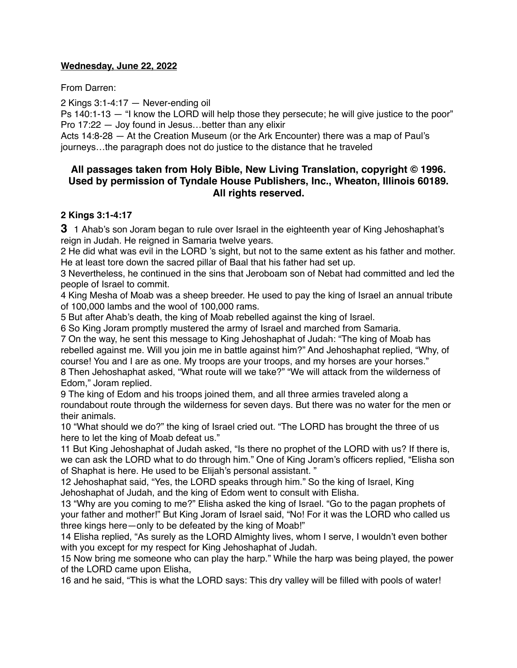#### **Wednesday, June 22, 2022**

From Darren:

2 Kings 3:1-4:17 — Never-ending oil

Ps 140:1-13 — "I know the LORD will help those they persecute; he will give justice to the poor" Pro 17:22 — Joy found in Jesus…better than any elixir

Acts 14:8-28 — At the Creation Museum (or the Ark Encounter) there was a map of Paul's journeys…the paragraph does not do justice to the distance that he traveled

# **All passages taken from Holy Bible, [New Living Translation](http://www.newlivingtranslation.com/), copyright © 1996. Used by permission of [Tyndale House Publishers](http://tyndale.com/), Inc., Wheaton, Illinois 60189. All rights reserved.**

#### **2 Kings 3:1-4:17**

**3** 1 Ahab's son Joram began to rule over Israel in the eighteenth year of King Jehoshaphat's reign in Judah. He reigned in Samaria twelve years.

2 He did what was evil in the LORD 's sight, but not to the same extent as his father and mother. He at least tore down the sacred pillar of Baal that his father had set up.

3 Nevertheless, he continued in the sins that Jeroboam son of Nebat had committed and led the people of Israel to commit.

4 King Mesha of Moab was a sheep breeder. He used to pay the king of Israel an annual tribute of 100,000 lambs and the wool of 100,000 rams.

5 But after Ahab's death, the king of Moab rebelled against the king of Israel.

6 So King Joram promptly mustered the army of Israel and marched from Samaria.

7 On the way, he sent this message to King Jehoshaphat of Judah: "The king of Moab has rebelled against me. Will you join me in battle against him?" And Jehoshaphat replied, "Why, of course! You and I are as one. My troops are your troops, and my horses are your horses." 8 Then Jehoshaphat asked, "What route will we take?" "We will attack from the wilderness of Edom," Joram replied.

9 The king of Edom and his troops joined them, and all three armies traveled along a roundabout route through the wilderness for seven days. But there was no water for the men or their animals.

10 "What should we do?" the king of Israel cried out. "The LORD has brought the three of us here to let the king of Moab defeat us."

11 But King Jehoshaphat of Judah asked, "Is there no prophet of the LORD with us? If there is, we can ask the LORD what to do through him." One of King Joram's officers replied, "Elisha son of Shaphat is here. He used to be Elijah's personal assistant. "

12 Jehoshaphat said, "Yes, the LORD speaks through him." So the king of Israel, King Jehoshaphat of Judah, and the king of Edom went to consult with Elisha.

13 "Why are you coming to me?" Elisha asked the king of Israel. "Go to the pagan prophets of your father and mother!" But King Joram of Israel said, "No! For it was the LORD who called us three kings here—only to be defeated by the king of Moab!"

14 Elisha replied, "As surely as the LORD Almighty lives, whom I serve, I wouldn't even bother with you except for my respect for King Jehoshaphat of Judah.

15 Now bring me someone who can play the harp." While the harp was being played, the power of the LORD came upon Elisha,

16 and he said, "This is what the LORD says: This dry valley will be filled with pools of water!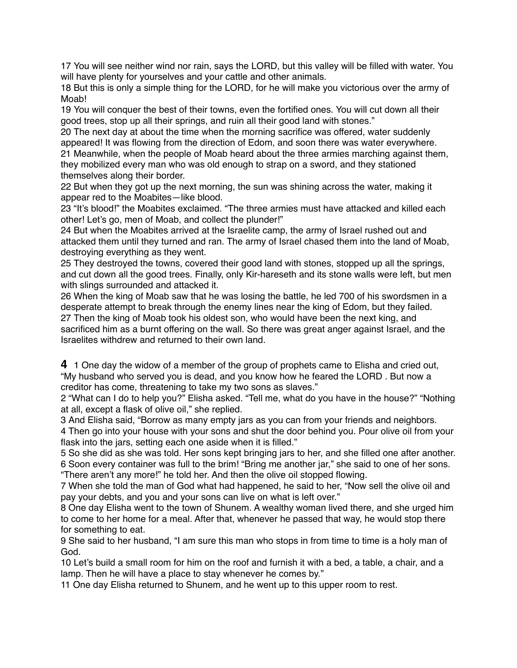17 You will see neither wind nor rain, says the LORD, but this valley will be filled with water. You will have plenty for yourselves and your cattle and other animals.

18 But this is only a simple thing for the LORD, for he will make you victorious over the army of Moab!

19 You will conquer the best of their towns, even the fortified ones. You will cut down all their good trees, stop up all their springs, and ruin all their good land with stones."

20 The next day at about the time when the morning sacrifice was offered, water suddenly appeared! It was flowing from the direction of Edom, and soon there was water everywhere. 21 Meanwhile, when the people of Moab heard about the three armies marching against them, they mobilized every man who was old enough to strap on a sword, and they stationed themselves along their border.

22 But when they got up the next morning, the sun was shining across the water, making it appear red to the Moabites—like blood.

23 "It's blood!" the Moabites exclaimed. "The three armies must have attacked and killed each other! Let's go, men of Moab, and collect the plunder!"

24 But when the Moabites arrived at the Israelite camp, the army of Israel rushed out and attacked them until they turned and ran. The army of Israel chased them into the land of Moab, destroying everything as they went.

25 They destroyed the towns, covered their good land with stones, stopped up all the springs, and cut down all the good trees. Finally, only Kir-hareseth and its stone walls were left, but men with slings surrounded and attacked it.

26 When the king of Moab saw that he was losing the battle, he led 700 of his swordsmen in a desperate attempt to break through the enemy lines near the king of Edom, but they failed. 27 Then the king of Moab took his oldest son, who would have been the next king, and sacrificed him as a burnt offering on the wall. So there was great anger against Israel, and the Israelites withdrew and returned to their own land.

**4** 1 One day the widow of a member of the group of prophets came to Elisha and cried out, "My husband who served you is dead, and you know how he feared the LORD . But now a creditor has come, threatening to take my two sons as slaves."

2 "What can I do to help you?" Elisha asked. "Tell me, what do you have in the house?" "Nothing at all, except a flask of olive oil," she replied.

3 And Elisha said, "Borrow as many empty jars as you can from your friends and neighbors.

4 Then go into your house with your sons and shut the door behind you. Pour olive oil from your flask into the jars, setting each one aside when it is filled."

5 So she did as she was told. Her sons kept bringing jars to her, and she filled one after another. 6 Soon every container was full to the brim! "Bring me another jar," she said to one of her sons.

"There aren't any more!" he told her. And then the olive oil stopped flowing.

7 When she told the man of God what had happened, he said to her, "Now sell the olive oil and pay your debts, and you and your sons can live on what is left over."

8 One day Elisha went to the town of Shunem. A wealthy woman lived there, and she urged him to come to her home for a meal. After that, whenever he passed that way, he would stop there for something to eat.

9 She said to her husband, "I am sure this man who stops in from time to time is a holy man of God.

10 Let's build a small room for him on the roof and furnish it with a bed, a table, a chair, and a lamp. Then he will have a place to stay whenever he comes by."

11 One day Elisha returned to Shunem, and he went up to this upper room to rest.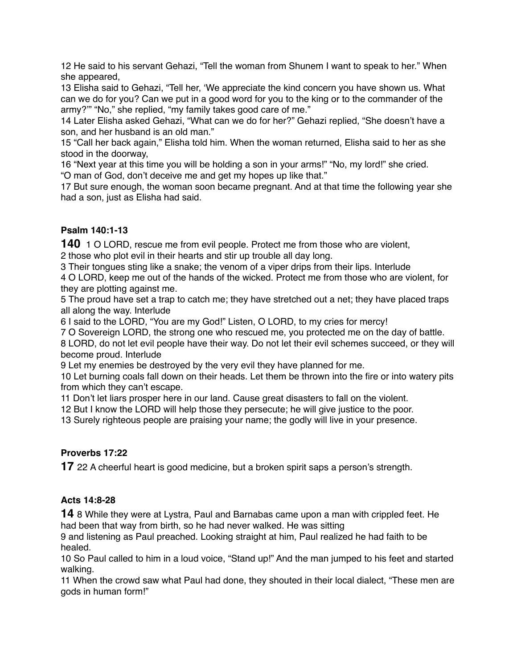12 He said to his servant Gehazi, "Tell the woman from Shunem I want to speak to her." When she appeared,

13 Elisha said to Gehazi, "Tell her, 'We appreciate the kind concern you have shown us. What can we do for you? Can we put in a good word for you to the king or to the commander of the army?'" "No," she replied, "my family takes good care of me."

14 Later Elisha asked Gehazi, "What can we do for her?" Gehazi replied, "She doesn't have a son, and her husband is an old man."

15 "Call her back again," Elisha told him. When the woman returned, Elisha said to her as she stood in the doorway,

16 "Next year at this time you will be holding a son in your arms!" "No, my lord!" she cried.

"O man of God, don't deceive me and get my hopes up like that."

17 But sure enough, the woman soon became pregnant. And at that time the following year she had a son, just as Elisha had said.

# **Psalm 140:1-13**

**140** 1 O LORD, rescue me from evil people. Protect me from those who are violent, 2 those who plot evil in their hearts and stir up trouble all day long.

3 Their tongues sting like a snake; the venom of a viper drips from their lips. Interlude

4 O LORD, keep me out of the hands of the wicked. Protect me from those who are violent, for they are plotting against me.

5 The proud have set a trap to catch me; they have stretched out a net; they have placed traps all along the way. Interlude

6 I said to the LORD, "You are my God!" Listen, O LORD, to my cries for mercy!

7 O Sovereign LORD, the strong one who rescued me, you protected me on the day of battle.

8 LORD, do not let evil people have their way. Do not let their evil schemes succeed, or they will become proud. Interlude

9 Let my enemies be destroyed by the very evil they have planned for me.

10 Let burning coals fall down on their heads. Let them be thrown into the fire or into watery pits from which they can't escape.

11 Don't let liars prosper here in our land. Cause great disasters to fall on the violent.

12 But I know the LORD will help those they persecute; he will give justice to the poor.

13 Surely righteous people are praising your name; the godly will live in your presence.

# **Proverbs 17:22**

**17** 22 A cheerful heart is good medicine, but a broken spirit saps a person's strength.

# **Acts 14:8-28**

**14** 8 While they were at Lystra, Paul and Barnabas came upon a man with crippled feet. He had been that way from birth, so he had never walked. He was sitting

9 and listening as Paul preached. Looking straight at him, Paul realized he had faith to be healed.

10 So Paul called to him in a loud voice, "Stand up!" And the man jumped to his feet and started walking.

11 When the crowd saw what Paul had done, they shouted in their local dialect, "These men are gods in human form!"